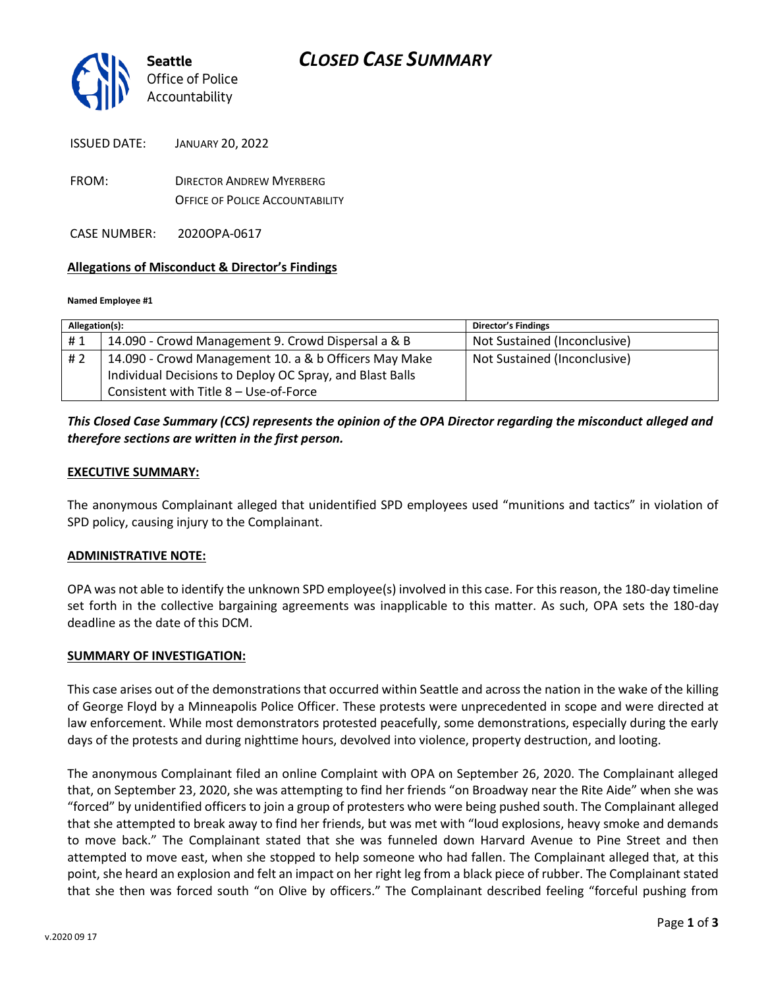

ISSUED DATE: JANUARY 20, 2022

FROM: DIRECTOR ANDREW MYERBERG OFFICE OF POLICE ACCOUNTABILITY

CASE NUMBER: 2020OPA-0617

## **Allegations of Misconduct & Director's Findings**

#### **Named Employee #1**

| Allegation(s): |                                                          | <b>Director's Findings</b>   |
|----------------|----------------------------------------------------------|------------------------------|
| #1             | 14.090 - Crowd Management 9. Crowd Dispersal a & B       | Not Sustained (Inconclusive) |
| #2             | 14.090 - Crowd Management 10. a & b Officers May Make    | Not Sustained (Inconclusive) |
|                | Individual Decisions to Deploy OC Spray, and Blast Balls |                              |
|                | Consistent with Title 8 - Use-of-Force                   |                              |

## *This Closed Case Summary (CCS) represents the opinion of the OPA Director regarding the misconduct alleged and therefore sections are written in the first person.*

### **EXECUTIVE SUMMARY:**

The anonymous Complainant alleged that unidentified SPD employees used "munitions and tactics" in violation of SPD policy, causing injury to the Complainant.

### **ADMINISTRATIVE NOTE:**

OPA was not able to identify the unknown SPD employee(s) involved in this case. For this reason, the 180-day timeline set forth in the collective bargaining agreements was inapplicable to this matter. As such, OPA sets the 180-day deadline as the date of this DCM.

### **SUMMARY OF INVESTIGATION:**

This case arises out of the demonstrations that occurred within Seattle and across the nation in the wake of the killing of George Floyd by a Minneapolis Police Officer. These protests were unprecedented in scope and were directed at law enforcement. While most demonstrators protested peacefully, some demonstrations, especially during the early days of the protests and during nighttime hours, devolved into violence, property destruction, and looting.

The anonymous Complainant filed an online Complaint with OPA on September 26, 2020. The Complainant alleged that, on September 23, 2020, she was attempting to find her friends "on Broadway near the Rite Aide" when she was "forced" by unidentified officers to join a group of protesters who were being pushed south. The Complainant alleged that she attempted to break away to find her friends, but was met with "loud explosions, heavy smoke and demands to move back." The Complainant stated that she was funneled down Harvard Avenue to Pine Street and then attempted to move east, when she stopped to help someone who had fallen. The Complainant alleged that, at this point, she heard an explosion and felt an impact on her right leg from a black piece of rubber. The Complainant stated that she then was forced south "on Olive by officers." The Complainant described feeling "forceful pushing from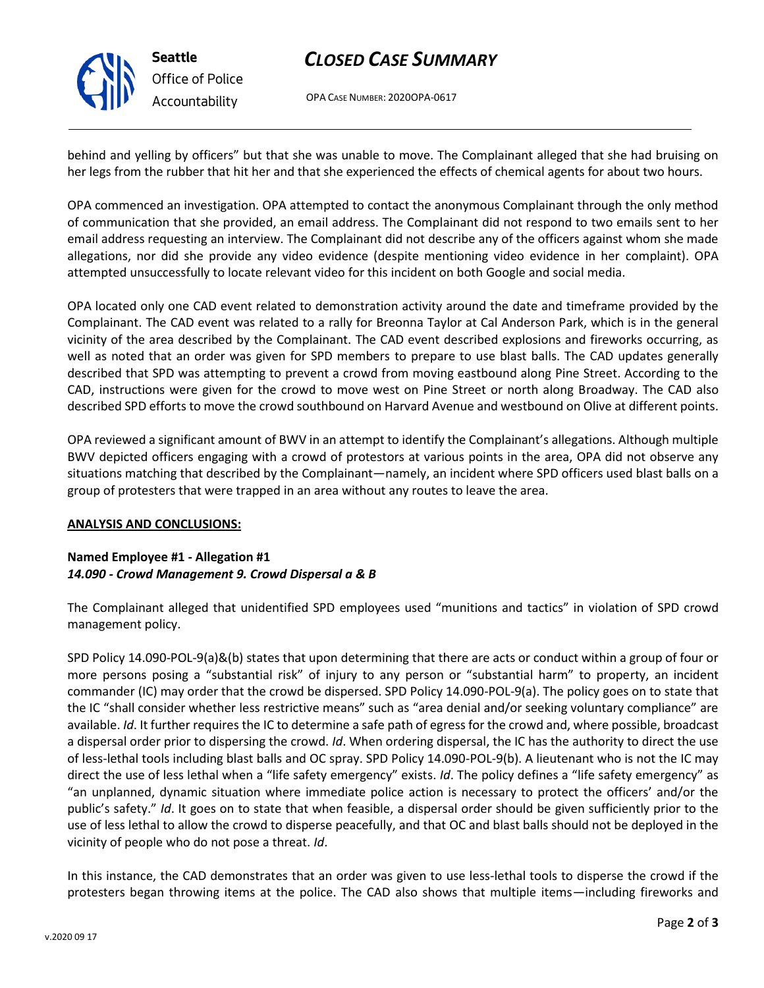

**Seattle** *Office of Police Accountability*

# *CLOSED CASE SUMMARY*

OPA CASE NUMBER: 2020OPA-0617

behind and yelling by officers" but that she was unable to move. The Complainant alleged that she had bruising on her legs from the rubber that hit her and that she experienced the effects of chemical agents for about two hours.

OPA commenced an investigation. OPA attempted to contact the anonymous Complainant through the only method of communication that she provided, an email address. The Complainant did not respond to two emails sent to her email address requesting an interview. The Complainant did not describe any of the officers against whom she made allegations, nor did she provide any video evidence (despite mentioning video evidence in her complaint). OPA attempted unsuccessfully to locate relevant video for this incident on both Google and social media.

OPA located only one CAD event related to demonstration activity around the date and timeframe provided by the Complainant. The CAD event was related to a rally for Breonna Taylor at Cal Anderson Park, which is in the general vicinity of the area described by the Complainant. The CAD event described explosions and fireworks occurring, as well as noted that an order was given for SPD members to prepare to use blast balls. The CAD updates generally described that SPD was attempting to prevent a crowd from moving eastbound along Pine Street. According to the CAD, instructions were given for the crowd to move west on Pine Street or north along Broadway. The CAD also described SPD efforts to move the crowd southbound on Harvard Avenue and westbound on Olive at different points.

OPA reviewed a significant amount of BWV in an attempt to identify the Complainant's allegations. Although multiple BWV depicted officers engaging with a crowd of protestors at various points in the area, OPA did not observe any situations matching that described by the Complainant—namely, an incident where SPD officers used blast balls on a group of protesters that were trapped in an area without any routes to leave the area.

## **ANALYSIS AND CONCLUSIONS:**

## **Named Employee #1 - Allegation #1** *14.090 - Crowd Management 9. Crowd Dispersal a & B*

The Complainant alleged that unidentified SPD employees used "munitions and tactics" in violation of SPD crowd management policy.

SPD Policy 14.090-POL-9(a)&(b) states that upon determining that there are acts or conduct within a group of four or more persons posing a "substantial risk" of injury to any person or "substantial harm" to property, an incident commander (IC) may order that the crowd be dispersed. SPD Policy 14.090-POL-9(a). The policy goes on to state that the IC "shall consider whether less restrictive means" such as "area denial and/or seeking voluntary compliance" are available. *Id*. It further requires the IC to determine a safe path of egress for the crowd and, where possible, broadcast a dispersal order prior to dispersing the crowd. *Id*. When ordering dispersal, the IC has the authority to direct the use of less-lethal tools including blast balls and OC spray. SPD Policy 14.090-POL-9(b). A lieutenant who is not the IC may direct the use of less lethal when a "life safety emergency" exists. *Id*. The policy defines a "life safety emergency" as "an unplanned, dynamic situation where immediate police action is necessary to protect the officers' and/or the public's safety." *Id*. It goes on to state that when feasible, a dispersal order should be given sufficiently prior to the use of less lethal to allow the crowd to disperse peacefully, and that OC and blast balls should not be deployed in the vicinity of people who do not pose a threat. *Id*.

In this instance, the CAD demonstrates that an order was given to use less-lethal tools to disperse the crowd if the protesters began throwing items at the police. The CAD also shows that multiple items—including fireworks and